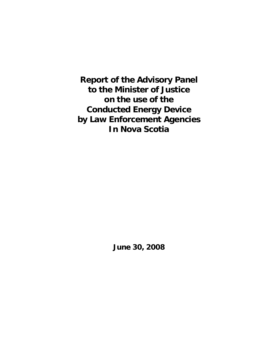**Report of the Advisory Panel to the Minister of Justice on the use of the Conducted Energy Device by Law Enforcement Agencies In Nova Scotia** 

**June 30, 2008**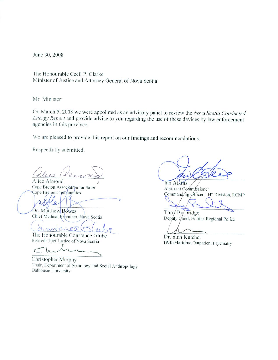June 30, 2008

The Honourable Cecil P. Clarke Minister of Justice and Attorney General of Nova Scotia

Mr. Minister:

On March 5, 2008 we were appointed as an advisory panel to review the Nova Scotia Conducted Energy Report and provide advice to you regarding the use of these devices by law enforcement agencies in this province.

We are pleased to provide this report on our findings and recommendations.

Respectfully submitted.

Alice Almond

Cape Breton Association for Safer Cape Breton Communities

Dr. Matthew Bowes Chief Medical Examiner, Nova Scotia

Gmstaues

The Honourable Constance Glube Retired Chief Justice of Nova Scotia

Christopher Murphy Chair, Department of Sociology and Social Anthropology Dalhousie University

**Ian Atkins** Assistant Commissioner Commanding Officer, "H" Division, RCMP

Tony Burbridge Deputy Chief, Halifax Regional Police

Dr. \$tan Kutcher **IWK/Maritime Outpatient Psychiatry**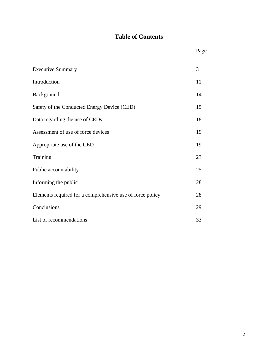# **Table of Contents**

| <b>Executive Summary</b>                                  | 3  |
|-----------------------------------------------------------|----|
| Introduction                                              | 11 |
| Background                                                | 14 |
| Safety of the Conducted Energy Device (CED)               | 15 |
| Data regarding the use of CEDs                            | 18 |
| Assessment of use of force devices                        | 19 |
| Appropriate use of the CED                                | 19 |
| Training                                                  | 23 |
| Public accountability                                     | 25 |
| Informing the public                                      | 28 |
| Elements required for a comprehensive use of force policy | 28 |
| Conclusions                                               | 29 |
| List of recommendations                                   | 33 |

Page **Page**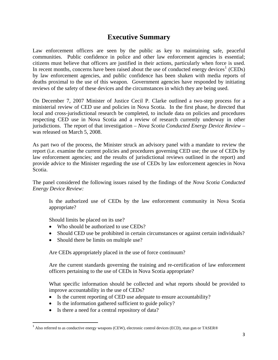# **Executive Summary**

Law enforcement officers are seen by the public as key to maintaining safe, peaceful communities. Public confidence in police and other law enforcement agencies is essential; citizens must believe that officers are justified in their actions, particularly when force is used. In recent months, concerns have been raised about the use of conducted energy devices<sup>[1](#page-3-0)</sup> (CEDs) by law enforcement agencies, and public confidence has been shaken with media reports of deaths proximal to the use of this weapon. Government agencies have responded by initiating reviews of the safety of these devices and the circumstances in which they are being used.

On December 7, 2007 Minister of Justice Cecil P. Clarke outlined a two-step process for a ministerial review of CED use and policies in Nova Scotia. In the first phase, he directed that local and cross-jurisdictional research be completed, to include data on policies and procedures respecting CED use in Nova Scotia and a review of research currently underway in other jurisdictions. The report of that investigation – *Nova Scotia Conducted Energy Device Review* – was released on March 5, 2008.

As part two of the process, the Minister struck an advisory panel with a mandate to review the report (i.e. examine the current policies and procedures governing CED use; the use of CEDs by law enforcement agencies; and the results of jurisdictional reviews outlined in the report) and provide advice to the Minister regarding the use of CEDs by law enforcement agencies in Nova Scotia.

The panel considered the following issues raised by the findings of the *Nova Scotia Conducted Energy Device Review:* 

Is the authorized use of CEDs by the law enforcement community in Nova Scotia appropriate?

Should limits be placed on its use?

- Who should be authorized to use CEDs?
- Should CED use be prohibited in certain circumstances or against certain individuals?
- Should there be limits on multiple use?

Are CEDs appropriately placed in the use of force continuum?

Are the current standards governing the training and re-certification of law enforcement officers pertaining to the use of CEDs in Nova Scotia appropriate?

What specific information should be collected and what reports should be provided to improve accountability in the use of CEDs?

- Is the current reporting of CED use adequate to ensure accountability?
- Is the information gathered sufficient to guide policy?
- Is there a need for a central repository of data?

<span id="page-3-0"></span> $1$  Also referred to as conductive energy weapons (CEW), electronic control devices (ECD), stun gun or TASER®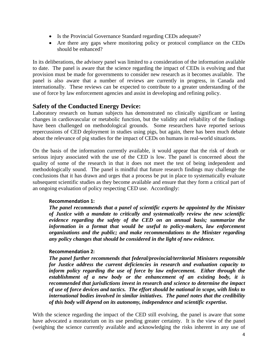- Is the Provincial Governance Standard regarding CEDs adequate?
- Are there any gaps where monitoring policy or protocol compliance on the CEDs should be enhanced?

In its deliberations, the advisory panel was limited to a consideration of the information available to date. The panel is aware that the science regarding the impact of CEDs is evolving and that provision must be made for governments to consider new research as it becomes available. The panel is also aware that a number of reviews are currently in progress, in Canada and internationally. These reviews can be expected to contribute to a greater understanding of the use of force by law enforcement agencies and assist in developing and refining policy.

## **Safety of the Conducted Energy Device:**

Laboratory research on human subjects has demonstrated no clinically significant or lasting changes in cardiovascular or metabolic function, but the validity and reliability of the findings have been challenged on methodological grounds. Some researchers have reported serious repercussions of CED deployment in studies using pigs, but again, there has been much debate about the relevance of pig studies for the impact of CEDs on humans in real-world situations.

On the basis of the information currently available, it would appear that the risk of death or serious injury associated with the use of the CED is low. The panel is concerned about the quality of some of the research in that it does not meet the test of being independent and methodologically sound. The panel is mindful that future research findings may challenge the conclusions that it has drawn and urges that a process be put in place to systematically evaluate subsequent scientific studies as they become available and ensure that they form a critical part of an ongoing evaluation of policy respecting CED use. Accordingly:

## **Recommendation 1:**

*The panel recommends that a panel of scientific experts be appointed by the Minister of Justice with a mandate to critically and systematically review the new scientific evidence regarding the safety of the CED on an annual basis; summarize the information in a format that would be useful to policy-makers, law enforcement organizations and the public; and make recommendations to the Minister regarding any policy changes that should be considered in the light of new evidence.* 

### **Recommendation 2:**

*The panel further recommends that federal/provincial/territorial Ministers responsible for Justice address the current deficiencies in research and evaluation capacity to inform policy regarding the use of force by law enforcement. Either through the establishment of a new body or the enhancement of an existing body, it is recommended that jurisdictions invest in research and science to determine the impact of use of force devices and tactics. The effort should be national in scope, with links to international bodies involved in similar initiatives. The panel notes that the credibility of this body will depend on its autonomy, independence and scientific expertise.* 

With the science regarding the impact of the CED still evolving, the panel is aware that some have advocated a moratorium on its use pending greater certainty. It is the view of the panel (weighing the science currently available and acknowledging the risks inherent in any use of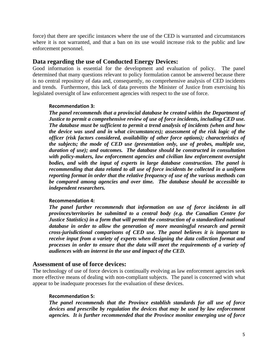force) that there are specific instances where the use of the CED is warranted and circumstances where it is not warranted, and that a ban on its use would increase risk to the public and law enforcement personnel.

# **Data regarding the use of Conducted Energy Devices:**

Good information is essential for the development and evaluation of policy. The panel determined that many questions relevant to policy formulation cannot be answered because there is no central repository of data and, consequently, no comprehensive analysis of CED incidents and trends. Furthermore, this lack of data prevents the Minister of Justice from exercising his legislated oversight of law enforcement agencies with respect to the use of force.

## **Recommendation 3:**

*The panel recommends that a provincial database be created within the Department of Justice to permit a comprehensive review of use of force incidents, including CED use. The database must be sufficient to permit a trend analysis of incidents (when and how the device was used and in what circumstances); assessment of the risk logic of the officer (risk factors considered, availability of other force options); characteristics of the subjects; the mode of CED use (presentation only, use of probes, multiple use, duration of use); and outcomes. The database should be constructed in consultation with policy-makers, law enforcement agencies and civilian law enforcement oversight bodies, and with the input of experts in large database construction. The panel is recommending that data related to all use of force incidents be collected in a uniform reporting format in order that the relative frequency of use of the various methods can be compared among agencies and over time. The database should be accessible to independent researchers.* 

## **Recommendation 4:**

*The panel further recommends that information on use of force incidents in all provinces/territories be submitted to a central body (e.g. the Canadian Centre for Justice Statistics) in a form that will permit the construction of a standardized national*  database in order to allow the generation of more meaningful research and permit *cross-jurisdictional comparisons of CED use. The panel believes it is important to receive input from a variety of experts when designing the data collection format and processes in order to ensure that the data will meet the requirements of a variety of audiences with an interest in the use and impact of the CED.* 

## **Assessment of use of force devices:**

The technology of use of force devices is continually evolving as law enforcement agencies seek more effective means of dealing with non-compliant subjects. The panel is concerned with what appear to be inadequate processes for the evaluation of these devices.

## **Recommendation 5:**

*The panel recommends that the Province establish standards for all use of force devices and prescribe by regulation the devices that may be used by law enforcement agencies. It is further recommended that the Province monitor emerging use of force*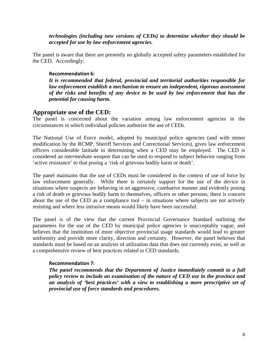*technologies (including new versions of CEDs) to determine whether they should be accepted for use by law enforcement agencies.* 

The panel is aware that there are presently no globally accepted safety parameters established for the CED. Accordingly:

## **Recommendation 6:**

*It is recommended that federal, provincial and territorial authorities responsible for law enforcement establish a mechanism to ensure an independent, rigorous assessment of the risks and benefits of any device to be used by law enforcement that has the potential for causing harm.* 

# **Appropriate use of the CED:**

The panel is concerned about the variation among law enforcement agencies in the circumstances in which individual policies authorize the use of CEDs.

The National Use of Force model, adopted by municipal police agencies (and with minor modification by the RCMP, Sheriff Services and Correctional Services), gives law enforcement officers considerable latitude in determining when a CED may be employed. The CED is considered an *intermediate weapon* that can be used to respond to subject behavior ranging from 'active resistance' to that posing a 'risk of grievous bodily harm or death'.

The panel maintains that the use of CEDs must be considered in the context of use of force by law enforcement generally. While there is certainly support for the use of the device in situations where suspects are behaving in an aggressive, combative manner and evidently posing a risk of death or grievous bodily harm to themselves, officers or other persons, there is concern about the use of the CED as a compliance tool – in situations where subjects are not actively resisting and where less intrusive means would likely have been successful.

The panel is of the view that the current Provincial Governance Standard outlining the parameters for the use of the CED by municipal police agencies is unacceptably vague, and believes that the institution of more objective provincial usage standards would lead to greater uniformity and provide more clarity, direction and certainty. However, the panel believes that standards must be based on an analysis of utilization data that does not currently exist, as well as a comprehensive review of best practices related to CED standards.

### **Recommendation 7:**

*The panel recommends that the Department of Justice immediately commit to a full policy review to include an examination of the nature of CED use in the province and an analysis of 'best practices' with a view to establishing a more prescriptive set of provincial use of force standards and procedures.*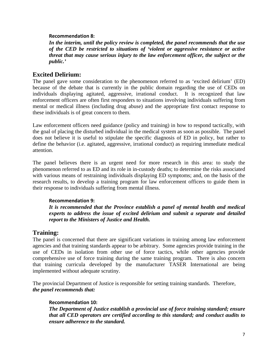### **Recommendation 8:**

*In the interim, until the policy review is completed, the panel recommends that the use of the CED be restricted to situations of 'violent or aggressive resistance or active threat that may cause serious injury to the law enforcement officer, the subject or the public.'* 

## **Excited Delirium:**

The panel gave some consideration to the phenomenon referred to as 'excited delirium' (ED) because of the debate that is currently in the public domain regarding the use of CEDs on individuals displaying agitated, aggressive, irrational conduct. It is recognized that law enforcement officers are often first responders to situations involving individuals suffering from mental or medical illness (including drug abuse) and the appropriate first contact response to these individuals is of great concern to them.

Law enforcement officers need guidance (policy and training) in how to respond tactically, with the goal of placing the disturbed individual in the medical system as soon as possible. The panel does not believe it is useful to stipulate the specific diagnosis of ED in policy, but rather to define the behavior (i.e. agitated, aggressive, irrational conduct) as requiring immediate medical attention.

The panel believes there is an urgent need for more research in this area: to study the phenomenon referred to as ED and its role in in-custody deaths; to determine the risks associated with various means of restraining individuals displaying ED symptoms; and, on the basis of the research results, to develop a training program for law enforcement officers to guide them in their response to individuals suffering from mental illness.

### **Recommendation 9:**

*It is recommended that the Province establish a panel of mental health and medical experts to address the issue of excited delirium and submit a separate and detailed report to the Ministers of Justice and Health.* 

## **Training:**

The panel is concerned that there are significant variations in training among law enforcement agencies and that training standards appear to be arbitrary. Some agencies provide training in the use of CEDs in isolation from other use of force tactics, while other agencies provide comprehensive use of force training during the same training program. There is also concern that training curricula developed by the manufacturer TASER International are being implemented without adequate scrutiny.

The provincial Department of Justice is responsible for setting training standards. Therefore, *the panel recommends that:* 

### **Recommendation 10:**

*The Department of Justice establish a provincial use of force training standard; ensure that all CED operators are certified according to this standard; and conduct audits to ensure adherence to the standard.*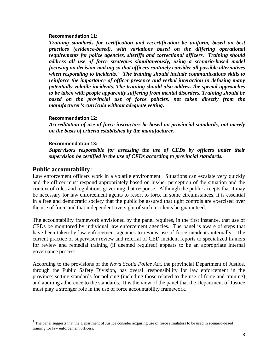#### **Recommendation 11:**

*Training standards for certification and recertification be uniform, based on best practices (evidence-based), with variations based on the differing operational requirements for police agencies, sheriffs and correctional officers. Training should address all use of force strategies simultaneously, using a scenario-based model focusing on decision-making so that officers routinely consider all possible alternatives when responding to incidents.[2](#page-8-0) The training should include communications skills to reinforce the importance of officer presence and verbal interaction in defusing many potentially volatile incidents. The training should also address the special approaches to be taken with people apparently suffering from mental disorders. Training should be based on the provincial use of force policies, not taken directly from the manufacturer's curricula without adequate vetting.* 

### **Recommendation 12:**

*Accreditation of use of force instructors be based on provincial standards, not merely on the basis of criteria established by the manufacturer.* 

#### **Recommendation 13:**

*Supervisors responsible for assessing the use of CEDs by officers under their supervision be certified in the use of CEDs according to provincial standards.* 

## **Public accountability:**

Law enforcement officers work in a volatile environment. Situations can escalate very quickly and the officer must respond appropriately based on his/her perception of the situation and the context of rules and regulations governing that response. Although the public accepts that it may be necessary for law enforcement agents to resort to force in some circumstances, it is essential in a free and democratic society that the public be assured that tight controls are exercised over the use of force and that independent oversight of such incidents be guaranteed.

The accountability framework envisioned by the panel requires, in the first instance, that use of CEDs be monitored by individual law enforcement agencies. The panel is aware of steps that have been taken by law enforcement agencies to review use of force incidents internally. The current practice of supervisor review and referral of CED incident reports to specialized trainers for review and remedial training (if deemed required) appears to be an appropriate internal governance process.

According to the provisions of the *Nova Scotia Police Act*, the provincial Department of Justice, through the Public Safety Division, has overall responsibility for law enforcement in the province: setting standards for policing (including those related to the use of force and training) and auditing adherence to the standards. It is the view of the panel that the Department of Justice must play a stronger role in the use of force accountability framework.

<span id="page-8-0"></span><sup>&</sup>lt;sup>2</sup> The panel suggests that the Department of Justice consider acquiring use of force simulators to be used in scenario-based training for law enforcement officers.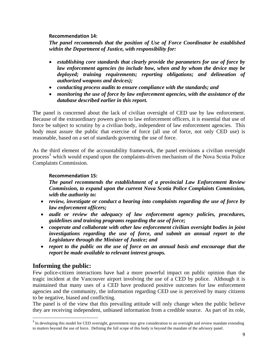## **Recommendation 14:**

*The panel recommends that the position of Use of Force Coordinator be established within the Department of Justice, with responsibility for:* 

- *establishing core standards that clearly provide the parameters for use of force by law enforcement agencies (to include how, when and by whom the device may be deployed; training requirements; reporting obligations; and delineation of authorized weapons and devices);*
- *conducting process audits to ensure compliance with the standards; and*
- *monitoring the use of force by law enforcement agencies, with the assistance of the database described earlier in this report.*

The panel is concerned about the lack of civilian oversight of CED use by law enforcement. Because of the extraordinary powers given to law enforcement officers, it is essential that use of force be subject to scrutiny by a civilian body, independent of law enforcement agencies. This body must assure the public that exercise of force (all use of force, not only CED use) is reasonable, based on a set of standards governing the use of force.

As the third element of the accountability framework, the panel envisions a civilian oversight process<sup>[3](#page-9-0)</sup> which would expand upon the complaints-driven mechanism of the Nova Scotia Police Complaints Commission.

## **Recommendation 15:**

*The panel recommends the establishment of a provincial Law Enforcement Review Commission, to expand upon the current Nova Scotia Police Complaints Commission, with the authority to:* 

- *review, investigate or conduct a hearing into complaints regarding the use of force by law enforcement officers;*
- *audit or review the adequacy of law enforcement agency policies, procedures, guidelines and training programs regarding the use of force;*
- *cooperate and collaborate with other law enforcement civilian oversight bodies in joint investigations regarding the use of force, and submit an annual report to the Legislature through the Minister of Justice; and*
- *report to the public on the use of force on an annual basis and encourage that the report be made available to relevant interest groups.*

# **Informing the public:**

Few police-citizen interactions have had a more powerful impact on public opinion than the tragic incident at the Vancouver airport involving the use of a CED by police. Although it is maintained that many uses of a CED have produced positive outcomes for law enforcement agencies and the community, the information regarding CED use is perceived by many citizens to be negative, biased and conflicting.

The panel is of the view that this prevailing attitude will only change when the public believe they are receiving independent, unbiased information from a credible source. As part of its role,

<span id="page-9-0"></span><sup>&</sup>lt;sup>3</sup> In developing this model for CED oversight, government may give consideration to an oversight and review mandate extending to matters beyond the use of force. Defining the full scope of this body is beyond the mandate of the advisory panel.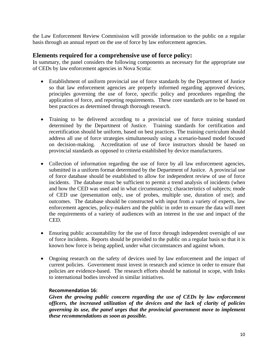the Law Enforcement Review Commission will provide information to the public on a regular basis through an annual report on the use of force by law enforcement agencies.

# **Elements required for a comprehensive use of force policy:**

In summary, the panel considers the following components as necessary for the appropriate use of CEDs by law enforcement agencies in Nova Scotia:

- Establishment of uniform provincial use of force standards by the Department of Justice so that law enforcement agencies are properly informed regarding approved devices, principles governing the use of force, specific policy and procedures regarding the application of force, and reporting requirements. These core standards are to be based on best practices as determined through thorough research.
- Training to be delivered according to a provincial use of force training standard determined by the Department of Justice. Training standards for certification and recertification should be uniform, based on best practices. The training curriculum should address all use of force strategies simultaneously using a scenario-based model focused on decision-making. Accreditation of use of force instructors should be based on provincial standards as opposed to criteria established by device manufacturers.
- Collection of information regarding the use of force by all law enforcement agencies, submitted in a uniform format determined by the Department of Justice. A provincial use of force database should be established to allow for independent review of use of force incidents. The database must be sufficient to permit a trend analysis of incidents (when and how the CED was used and in what circumstances); characteristics of subjects; mode of CED use (presentation only, use of probes, multiple use, duration of use); and outcomes. The database should be constructed with input from a variety of experts, law enforcement agencies, policy-makers and the public in order to ensure the data will meet the requirements of a variety of audiences with an interest in the use and impact of the CED.
- Ensuring public accountability for the use of force through independent oversight of use of force incidents. Reports should be provided to the public on a regular basis so that it is known how force is being applied, under what circumstances and against whom.
- Ongoing research on the safety of devices used by law enforcement and the impact of current policies. Government must invest in research and science in order to ensure that policies are evidence-based. The research efforts should be national in scope, with links to international bodies involved in similar initiatives.

## **Recommendation 16:**

*Given the growing public concern regarding the use of CEDs by law enforcement officers, the increased utilization of the devices and the lack of clarity of policies governing its use, the panel urges that the provincial government move to implement these recommendations as soon as possible.*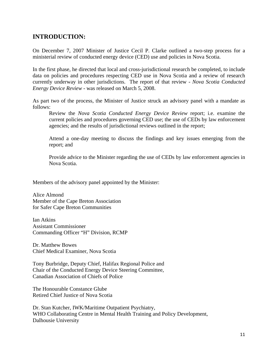# **INTRODUCTION:**

On December 7, 2007 Minister of Justice Cecil P. Clarke outlined a two-step process for a ministerial review of conducted energy device (CED) use and policies in Nova Scotia.

In the first phase, he directed that local and cross-jurisdictional research be completed, to include data on policies and procedures respecting CED use in Nova Scotia and a review of research currently underway in other jurisdictions. The report of that review - *Nova Scotia Conducted Energy Device Review* - was released on March 5, 2008.

As part two of the process, the Minister of Justice struck an advisory panel with a mandate as follows:

Review the *Nova Scotia Conducted Energy Device Review* report; i.e. examine the current policies and procedures governing CED use; the use of CEDs by law enforcement agencies; and the results of jurisdictional reviews outlined in the report;

Attend a one-day meeting to discuss the findings and key issues emerging from the report; and

Provide advice to the Minister regarding the use of CEDs by law enforcement agencies in Nova Scotia.

Members of the advisory panel appointed by the Minister:

Alice Almond Member of the Cape Breton Association for Safer Cape Breton Communities

Ian Atkins Assistant Commissioner Commanding Officer "H" Division, RCMP

Dr. Matthew Bowes Chief Medical Examiner, Nova Scotia

Tony Burbridge, Deputy Chief, Halifax Regional Police and Chair of the Conducted Energy Device Steering Committee, Canadian Association of Chiefs of Police

The Honourable Constance Glube Retired Chief Justice of Nova Scotia

Dr. Stan Kutcher, IWK/Maritime Outpatient Psychiatry, WHO Collaborating Centre in Mental Health Training and Policy Development, Dalhousie University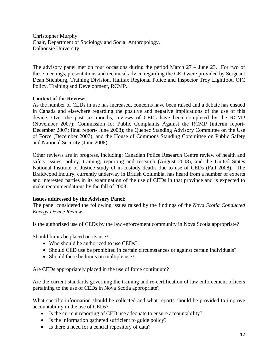Christopher Murphy Chair, Department of Sociology and Social Anthropology, Dalhousie University

The advisory panel met on four occasions during the period March 27 – June 23. For two of these meetings, presentations and technical advice regarding the CED were provided by Sergeant Dean Stienburg, Training Division, Halifax Regional Police and Inspector Troy Lightfoot, OIC Policy, Training and Development, RCMP.

## **Context of the Review:**

As the number of CEDs in use has increased, concerns have been raised and a debate has ensued in Canada and elsewhere regarding the positive and negative implications of the use of this device. Over the past six months, reviews of CEDs have been completed by the RCMP (November 2007); Commission for Public Complaints Against the RCMP (interim report-December 2007; final report- June 2008); the Quebec Standing Advisory Committee on the Use of Force (December 2007); and the House of Commons Standing Committee on Public Safety and National Security (June 2008).

Other reviews are in progress, including: Canadian Police Research Centre review of health and safety issues, policy, training, reporting and research (August 2008), and the United States National Institute of Justice study of in-custody deaths due to use of CEDs (Fall 2008). The Braidwood Inquiry, currently underway in British Columbia, has heard from a number of experts and interested parties in its examination of the use of CEDs in that province and is expected to make recommendations by the fall of 2008.

### **Issues addressed by the Advisory Panel:**

The panel considered the following issues raised by the findings of the *Nova Scotia Conducted Energy Device Review:* 

Is the authorized use of CEDs by the law enforcement community in Nova Scotia appropriate?

Should limits be placed on its use?

- Who should be authorized to use CEDs?
- Should CED use be prohibited in certain circumstances or against certain individuals?
- Should there be limits on multiple use?

Are CEDs appropriately placed in the use of force continuum?

Are the current standards governing the training and re-certification of law enforcement officers pertaining to the use of CEDs in Nova Scotia appropriate?

What specific information should be collected and what reports should be provided to improve accountability in the use of CEDs?

- Is the current reporting of CED use adequate to ensure accountability?
- Is the information gathered sufficient to guide policy?
- Is there a need for a central repository of data?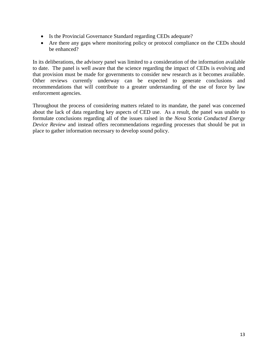- Is the Provincial Governance Standard regarding CEDs adequate?
- Are there any gaps where monitoring policy or protocol compliance on the CEDs should be enhanced?

In its deliberations, the advisory panel was limited to a consideration of the information available to date. The panel is well aware that the science regarding the impact of CEDs is evolving and that provision must be made for governments to consider new research as it becomes available. Other reviews currently underway can be expected to generate conclusions and recommendations that will contribute to a greater understanding of the use of force by law enforcement agencies.

Throughout the process of considering matters related to its mandate, the panel was concerned about the lack of data regarding key aspects of CED use. As a result, the panel was unable to formulate conclusions regarding all of the issues raised in the *Nova Scotia Conducted Energy Device Review* and instead offers recommendations regarding processes that should be put in place to gather information necessary to develop sound policy.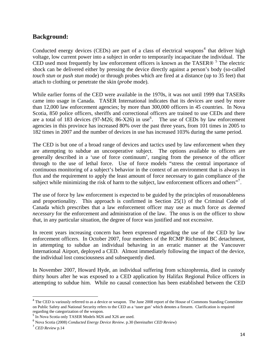# **Background:**

Conducted energy devices (CEDs) are part of a class of electrical weapons<sup>[4](#page-14-0)</sup> that deliver high voltage, low current power into a subject in order to temporarily incapacitate the individual. The CED used most frequently by law enforcement officers is known as the TASER $\circ$ <sup>[5](#page-14-1)</sup> The electric shock can be delivered either by pressing the device directly against a person's body (so-called *touch stun* or *push stun* mode) or through probes which are fired at a distance (up to 35 feet) that attach to clothing or penetrate the skin (*probe* mode).

While earlier forms of the CED were available in the 1970s, it was not until 1999 that TASERs came into usage in Canada. TASER International indicates that its devices are used by more than 12,000 law enforcement agencies; by more than 300,000 officers in 45 countries. In Nova Scotia, 850 police officers, sheriffs and correctional officers are trained to use CEDs and there are a total of 183 devices (97-M2[6](#page-14-2); 86-X26) in use<sup>6</sup>. The use of CEDs by law enforcement agencies in this province has increased 80% over the past three years, from 101 times in 2005 to 182 times in 2007 and the number of devices in use has increased 103% during the same period.

The CED is but one of a broad range of devices and tactics used by law enforcement when they are attempting to subdue an uncooperative subject. The options available to officers are generally described in a 'use of force continuum', ranging from the presence of the officer through to the use of lethal force. Use of force models "stress the central importance of continuous monitoring of a subject's behavior in the context of an environment that is always in flux and the requirement to apply the least amount of force necessary to gain compliance of the subject while minimizing the risk of harm to the subject, law enforcement officers and others"<sup>[7](#page-14-3)</sup>.

The use of force by law enforcement is expected to be guided by the principles of reasonableness and proportionality. This approach is confirmed in Section 25(1) of the Criminal Code of Canada which prescribes that a law enforcement officer may use as much force *as deemed necessary* for the enforcement and administration of the law. The onus is on the officer to show that, in any particular situation, the degree of force was justified and not excessive.

In recent years increasing concern has been expressed regarding the use of the CED by law enforcement officers. In October 2007, four members of the RCMP Richmond BC detachment, in attempting to subdue an individual behaving in an erratic manner at the Vancouver International Airport, deployed a CED. Almost immediately following the impact of the device, the individual lost consciousness and subsequently died.

In November 2007, Howard Hyde, an individual suffering from schizophrenia, died in custody thirty hours after he was exposed to a CED application by Halifax Regional Police officers in attempting to subdue him. While no causal connection has been established between the CED

<span id="page-14-0"></span> $4$  The CED is variously referred to as a device or weapon. The June 2008 report of the House of Commons Standing Committee on Public Safety and National Security refers to the CED as a 'taser gun' which denotes a firearm. Clarification is required regarding the categorization of the weapon.

<sup>&</sup>lt;sup>5</sup> In Nova Scotia only TASER Models M26 and X26 are used.

<span id="page-14-2"></span><span id="page-14-1"></span><sup>6</sup> Nova Scotia (2008) *Conducted Energy Device Review*. p.30 (hereinafter *CED Review*)

<span id="page-14-3"></span><sup>7</sup> *CED Review* p.14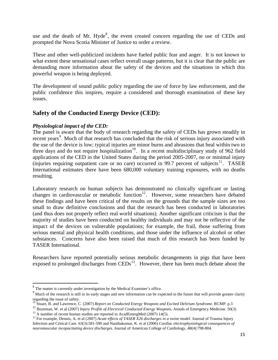use and the death of Mr. Hyde ${}^{8}$  ${}^{8}$  ${}^{8}$ , the event created concern regarding the use of CEDs and prompted the Nova Scotia Minister of Justice to order a review.

These and other well-publicized incidents have fueled public fear and anger. It is not known to what extent these sensational cases reflect overall usage patterns, but it is clear that the public are demanding more information about the safety of the devices and the situations in which this powerful weapon is being deployed.

The development of sound public policy regarding the use of force by law enforcement, and the public confidence this inspires, require a considered and thorough examination of these key issues.

# **Safety of the Conducted Energy Device (CED):**

## *Physiological impact of the CED:*

The panel is aware that the body of research regarding the safety of CEDs has grown steadily in recent years<sup>[9](#page-15-1)</sup>. Much of that research has concluded that the risk of serious injury associated with the use of the device is low; typical injuries are minor burns and abrasions that heal within two to three days and do not require hospitalization<sup>[10](#page-15-2)</sup>. In a recent multidisciplinary study of 962 field applications of the CED in the United States during the period 2005-2007, no or minimal injury (injuries requiring outpatient care or no care) occurred in 99.7 percent of subjects<sup>[11](#page-15-3)</sup>. TASER International estimates there have been 680,000 voluntary training exposures, with no deaths resulting.

Laboratory research on human subjects has demonstrated no clinically significant or lasting changes in cardiovascular or metabolic function<sup>[12](#page-15-4)</sup>. However, some researchers have debated these findings and have been critical of the results on the grounds that the sample sizes are too small to draw definitive conclusions and that the research has been conducted in laboratories (and thus does not properly reflect real world situations). Another significant criticism is that the majority of studies have been conducted on healthy individuals and may not be reflective of the impact of the devices on vulnerable populations; for example, the frail, those suffering from serious mental and physical health conditions, and those under the influence of alcohol or other substances. Concerns have also been raised that much of this research has been funded by TASER International.

Researchers have reported potentially serious metabolic derangements in pigs that have been exposed to prolonged discharges from  $\text{CEDs}^{13}$  $\text{CEDs}^{13}$  $\text{CEDs}^{13}$ . However, there has been much debate about the

<span id="page-15-0"></span><sup>8</sup> The matter is currently under investigation by the Medical Examiner's office.

<span id="page-15-1"></span><sup>&</sup>lt;sup>9</sup> Much of the research is still in its early stages and new information can be expected in the future that will provide greater clarity regarding the issue of safety.

<sup>10</sup> Stuart, B. and Lawrence, C. (2007) *Report on Conducted Energy Weapons and Excited Delirium Syndrome*. RCMP. p.3

<span id="page-15-3"></span><span id="page-15-2"></span><sup>11</sup> Bozeman, W. et al (2007) *Injury Profile of Electrical Conducted Energy Weapons*. Annals of Emergency Medicine. 50(3) <sup>12</sup> A number of recent human studies are reported in AcadEmergMed (2007) 14(5).

<span id="page-15-5"></span><span id="page-15-4"></span><sup>13</sup> For example, Dennis, A. et al (2007) *Acute effects of TASER X26 discharges in a swine model*. Journal of Trauma Injury Infection and Critical Care. 63(3):581-590 and Nanthakumar, K. et al (2006) *Cardiac electrophysiological consequences of neuromuscular incapacitating device discharges*. Journal of American College of Cardiology, 48(4):798-804.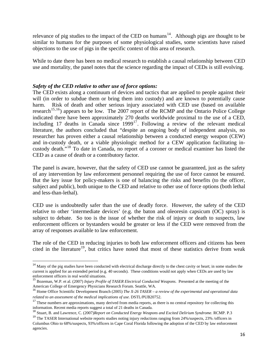relevance of pig studies to the impact of the CED on humans<sup>[14](#page-16-0)</sup>. Although pigs are thought to be similar to humans for the purposes of some physiological studies, some scientists have raised objections to the use of pigs in the specific context of this area of research.

While to date there has been no medical research to establish a causal relationship between CED use and mortality, the panel notes that the science regarding the impact of CEDs is still evolving.

## *Safety of the CED relative to other use of force options:*

The CED exists along a continuum of devices and tactics that are applied to people against their will (in order to subdue them or bring them into custody) and are known to potentially cause harm. Risk of death and other serious injury associated with CED use (based on available research<sup>[15](#page-16-1),[16](#page-16-2)</sup>) appears to be low. The 2007 report of the RCMP and the Ontario Police College indicated there have been approximately 270 deaths worldwide proximal to the use of a CED, including [17](#page-16-3) deaths in Canada since  $1999^{17}$ . Following a review of the relevant medical literature, the authors concluded that "despite an ongoing body of independent analysis, no researcher has proven either a causal relationship between a conducted energy weapon (CEW) and in-custody death, or a viable physiologic method for a CEW application facilitating incustody death."[18](#page-16-4) To date in Canada, no report of a coroner or medical examiner has listed the CED as a cause of death or a contributory factor.

The panel is aware, however, that the safety of CED use cannot be guaranteed, just as the safety of any intervention by law enforcement personnel requiring the use of force cannot be ensured. But the key issue for policy-makers is one of balancing the risks and benefits (to the officer, subject and public), both unique to the CED and relative to other use of force options (both lethal and less-than-lethal).

CED use is undoubtedly safer than the use of deadly force. However, the safety of the CED relative to other 'intermediate devices' (e.g. the baton and oleoresin capsicum (OC) spray) is subject to debate. So too is the issue of whether the risk of injury or death to suspects, law enforcement officers or bystanders would be greater or less if the CED were removed from the array of responses available to law enforcement.

The role of the CED in reducing injuries to both law enforcement officers and citizens has been cited in the literature<sup>[19](#page-16-5)</sup>, but critics have noted that most of these statistics derive from weak

<span id="page-16-0"></span><sup>&</sup>lt;sup>14</sup> Many of the pig studies have been conducted with electrical discharge directly to the chest cavity or heart; in some studies the current is applied for an extended period (e.g. 40 seconds). These conditions would not apply when CEDs are used by law enforcement officers in real world situations.

<span id="page-16-1"></span><sup>15</sup> Bozeman, W.P. et al. (2007) *Injury Profile of TASER Electrical Conducted Weapons*. Presented at the meeting of the American College of Emergency Physicians Research Forum. Seattle, WA.

<span id="page-16-2"></span><sup>16</sup> Home Office Scientific Development Branch (2005) *The X-26 TASER – a review of the experimental and operational data related to an assessment of the medical implications of use*. DSTL/PUB20752.<br><sup>17</sup> These numbers are approximations, many derived from media reports, as there is no central repository for collecting this

<span id="page-16-3"></span>information. Recent media reports suggest a total of 21 deaths in Canada.

<span id="page-16-4"></span><sup>18</sup> Stuart, B. and Lawrence, C. (2007)*Report on Conducted Energy Weapons and Excited Delirium Syndrome*. RCMP. P.3

<span id="page-16-5"></span><sup>&</sup>lt;sup>19</sup> The TASER International website reports studies noting injury reductions ranging from 24%/suspects, 23% /officers in Columbus Ohio to 68%/suspects, 93%/officers in Cape Coral Florida following the adoption of the CED by law enforcement agencies.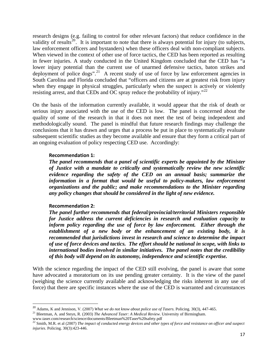research designs (e.g. failing to control for other relevant factors) that reduce confidence in the validity of results<sup>[20](#page-17-0)</sup>. It is important to note that there is always potential for injury (to subjects, law enforcement officers and bystanders) when these officers deal with non-compliant subjects. When viewed in the context of other use of force tactics, the CED has been reported as resulting in fewer injuries. A study conducted in the United Kingdom concluded that the CED has "a lower injury potential than the current use of unarmed defensive tactics, baton strikes and deployment of police  $\log s$ ".<sup>[21](#page-17-1)</sup> A recent study of use of force by law enforcement agencies in South Carolina and Florida concluded that "officers and citizens are at greatest risk from injury when they engage in physical struggles, particularly when the suspect is actively or violently resisting arrest, and that CEDs and OC spray reduce the probability of injury."<sup>[22](#page-17-2)</sup>

On the basis of the information currently available, it would appear that the risk of death or serious injury associated with the use of the CED is low. The panel is concerned about the quality of some of the research in that it does not meet the test of being independent and methodologically sound. The panel is mindful that future research findings may challenge the conclusions that it has drawn and urges that a process be put in place to systematically evaluate subsequent scientific studies as they become available and ensure that they form a critical part of an ongoing evaluation of policy respecting CED use. Accordingly:

#### **Recommendation 1:**

*The panel recommends that a panel of scientific experts be appointed by the Minister of Justice with a mandate to critically and systematically review the new scientific evidence regarding the safety of the CED on an annual basis; summarize the*  information in a format that would be useful to policy-makers, law enforcement *organizations and the public; and make recommendations to the Minister regarding any policy changes that should be considered in the light of new evidence.* 

### **Recommendation 2:**

*The panel further recommends that federal/provincial/territorial Ministers responsible for Justice address the current deficiencies in research and evaluation capacity to inform policy regarding the use of force by law enforcement. Either through the establishment of a new body or the enhancement of an existing body, it is recommended that jurisdictions invest in research and science to determine the impact of use of force devices and tactics. The effort should be national in scope, with links to international bodies involved in similar initiatives. The panel notes that the credibility of this body will depend on its autonomy, independence and scientific expertise.* 

With the science regarding the impact of the CED still evolving, the panel is aware that some have advocated a moratorium on its use pending greater certainty. It is the view of the panel (weighing the science currently available and acknowledging the risks inherent in any use of force) that there are specific instances where the use of the CED is warranted and circumstances

<span id="page-17-0"></span><sup>&</sup>lt;sup>20</sup> Adams, K and Jennison, V. (2007) *What we do not know about police use of Tasers*. Policing. 30(3), 447-465.<br><sup>21</sup> Bleetman, A. and Steyn, R. (2003) *The Advanced Taser: A Medical Review*. University of Birmingham.

<span id="page-17-1"></span>

<span id="page-17-2"></span>www.taser.com/research/science/documents/Bleetman%20Taser%20safety.pdf 22 Smith, M.R. et al (2007) *The impact of conducted energy devices and other types of force and resistance on officer and suspect injuries*. Policing. 30(3):423-446.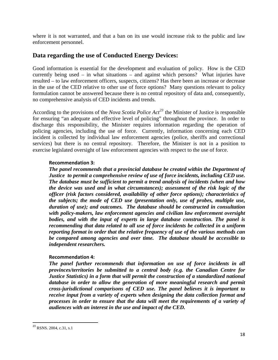where it is not warranted, and that a ban on its use would increase risk to the public and law enforcement personnel.

# **Data regarding the use of Conducted Energy Devices:**

Good information is essential for the development and evaluation of policy. How is the CED currently being used – in what situations – and against which persons? What injuries have resulted – to law enforcement officers, suspects, citizens? Has there been an increase or decrease in the use of the CED relative to other use of force options? Many questions relevant to policy formulation cannot be answered because there is no central repository of data and, consequently, no comprehensive analysis of CED incidents and trends.

According to the provisions of the *Nova Scotia Police Act[23](#page-18-0)* the Minister of Justice is responsible for ensuring "an adequate and effective level of policing" throughout the province. In order to discharge this responsibility, the Minister requires information regarding the operation of policing agencies, including the use of force. Currently, information concerning each CED incident is collected by individual law enforcement agencies (police, sheriffs and correctional services) but there is no central repository. Therefore, the Minister is not in a position to exercise legislated oversight of law enforcement agencies with respect to the use of force.

### **Recommendation 3:**

*The panel recommends that a provincial database be created within the Department of Justice to permit a comprehensive review of use of force incidents, including CED use. The database must be sufficient to permit a trend analysis of incidents (when and how the device was used and in what circumstances); assessment of the risk logic of the officer (risk factors considered, availability of other force options); characteristics of the subjects; the mode of CED use (presentation only, use of probes, multiple use, duration of use); and outcomes. The database should be constructed in consultation with policy-makers, law enforcement agencies and civilian law enforcement oversight bodies, and with the input of experts in large database construction. The panel is recommending that data related to all use of force incidents be collected in a uniform reporting format in order that the relative frequency of use of the various methods can be compared among agencies and over time. The database should be accessible to independent researchers.* 

## **Recommendation 4:**

*The panel further recommends that information on use of force incidents in all provinces/territories be submitted to a central body (e.g. the Canadian Centre for Justice Statistics) in a form that will permit the construction of a standardized national*  database in order to allow the generation of more meaningful research and permit *cross-jurisdictional comparisons of CED use. The panel believes it is important to receive input from a variety of experts when designing the data collection format and processes in order to ensure that the data will meet the requirements of a variety of audiences with an interest in the use and impact of the CED.* 

<span id="page-18-0"></span><sup>&</sup>lt;sup>23</sup> RSNS. 2004, c.31, s.1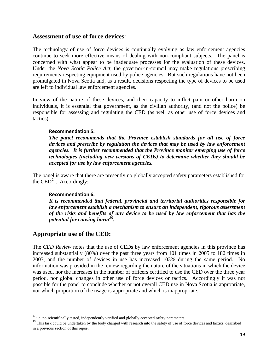## **Assessment of use of force devices**:

The technology of use of force devices is continually evolving as law enforcement agencies continue to seek more effective means of dealing with non-compliant subjects. The panel is concerned with what appear to be inadequate processes for the evaluation of these devices. Under the *Nova Scotia Police Act*, the governor-in-council may make regulations prescribing requirements respecting equipment used by police agencies. But such regulations have not been promulgated in Nova Scotia and, as a result, decisions respecting the type of devices to be used are left to individual law enforcement agencies.

In view of the nature of these devices, and their capacity to inflict pain or other harm on individuals, it is essential that government, as the civilian authority, (and not the police) be responsible for assessing and regulating the CED (as well as other use of force devices and tactics).

### **Recommendation 5:**

*The panel recommends that the Province establish standards for all use of force devices and prescribe by regulation the devices that may be used by law enforcement agencies. It is further recommended that the Province monitor emerging use of force technologies (including new versions of CEDs) to determine whether they should be accepted for use by law enforcement agencies.* 

The panel is aware that there are presently no globally accepted safety parameters established for the  $\text{CED}^{24}$  $\text{CED}^{24}$  $\text{CED}^{24}$ . Accordingly:

### **Recommendation 6:**

*It is recommended that federal, provincial and territorial authorities responsible for law enforcement establish a mechanism to ensure an independent, rigorous assessment of the risks and benefits of any device to be used by law enforcement that has the potential for causing harm[25](#page-19-1).* 

# **Appropriate use of the CED:**

The *CED Review* notes that the use of CEDs by law enforcement agencies in this province has increased substantially (80%) over the past three years from 101 times in 2005 to 182 times in 2007, and the number of devices in use has increased 103% during the same period. No information was provided in the review regarding the nature of the situations in which the device was used, nor the increases in the number of officers certified to use the CED over the three year period, nor global changes in other use of force devices or tactics. Accordingly it was not possible for the panel to conclude whether or not overall CED use in Nova Scotia is appropriate, nor which proportion of the usage is appropriate and which is inappropriate.

<span id="page-19-0"></span> $^{24}$  i.e. no scientifically tested, independently verified and globally accepted safety parameters.

<span id="page-19-1"></span><sup>&</sup>lt;sup>25</sup> This task could be undertaken by the body charged with research into the safety of use of force devices and tactics, described in a previous section of this report.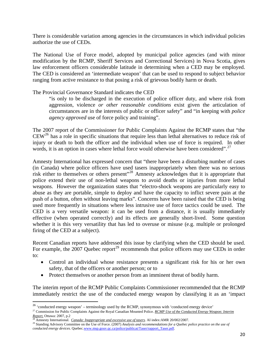There is considerable variation among agencies in the circumstances in which individual policies authorize the use of CEDs.

The National Use of Force model, adopted by municipal police agencies (and with minor modification by the RCMP, Sheriff Services and Correctional Services) in Nova Scotia, gives law enforcement officers considerable latitude in determining when a CED may be employed. The CED is considered an 'intermediate weapon' that can be used to respond to subject behavior ranging from active resistance to that posing a risk of grievous bodily harm or death.

## The Provincial Governance Standard indicates the CED

"is only to be discharged in the execution of police officer duty, and where risk from aggression, violence *or other reasonable conditions* exist given the articulation of circumstances are in the interests of public or officer safety" and "in keeping with *police agency approved* use of force policy and training".

The 2007 report of the Commissioner for Public Complaints Against the RCMP states that "the  $CEW<sup>26</sup>$  $CEW<sup>26</sup>$  $CEW<sup>26</sup>$  has a role in specific situations that require less than lethal alternatives to reduce risk of injury or death to both the officer and the individual when use of force is required. In other words, it is an option in cases where lethal force would otherwise have been considered".<sup>[27](#page-20-1)</sup>

Amnesty International has expressed concern that "there have been a disturbing number of cases (in Canada) where police officers have used tasers inappropriately when there was no serious risk either to themselves or others present"[28](#page-20-2) Amnesty acknowledges that it is appropriate that police extend their use of non-lethal weapons to avoid deaths or injuries from more lethal weapons. However the organization states that "electro-shock weapons are particularly easy to abuse as they are portable, simple to deploy and have the capacity to inflict severe pain at the push of a button, often without leaving marks". Concerns have been raised that the CED is being used more frequently in situations where less intrusive use of force tactics could be used. The CED is a very versatile weapon: it can be used from a distance, it is usually immediately effective (when operated correctly) and its effects are generally short-lived. Some question whether it is this very versatility that has led to overuse or misuse (e.g. multiple or prolonged firing of the CED at a subject).

Recent Canadian reports have addressed this issue by clarifying when the CED should be used. For example, the 2007 Quebec report<sup>[29](#page-20-3)</sup> recommends that police officers may use CEDs in order to:

- Control an individual whose resistance presents a significant risk for his or her own safety, that of the officers or another person; or to
- Protect themselves or another person from an imminent threat of bodily harm.

The interim report of the RCMP Public Complaints Commissioner recommended that the RCMP immediately restrict the use of the conducted energy weapon by classifying it as an 'impact

 $26$  'conducted energy weapon' – terminology used by the RCMP, synonymous with 'conducted energy device'

<span id="page-20-1"></span><span id="page-20-0"></span><sup>&</sup>lt;sup>27</sup> Commission for Public Complaints Against the Royal Canadian Mounted Police. *RCMP Use of the Conducted Energy Weapon: Interim Report*. Ottawa: 2007, p.2<br><sup>28</sup> Amnesty International Canada: International Canada: Interve

<span id="page-20-3"></span><span id="page-20-2"></span> $\frac{28}{28}$  Annesty International. *Canada: Inappropriate and excessive use of tasers*. AI index: AMR 20/002/2007.<br><sup>29</sup> Standing Advisory Committee on the Use of Force. (2007) *Analysis and recommendations for a Quebec po conducted energy devices.* Quebec.[www.msp.gouv.qc.ca/police/publicat/Taser/rapport\\_Taser.pdf.](http://www.msp.gouv.qc.ca/police/publicat/Taser/rapport_Taser.pdf)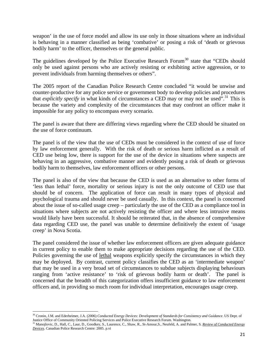weapon' in the use of force model and allow its use only in those situations where an individual is behaving in a manner classified as being 'combative' or posing a risk of 'death or grievous bodily harm' to the officer, themselves or the general public.

The guidelines developed by the Police Executive Research Forum<sup>[30](#page-21-0)</sup> state that "CEDs should only be used against persons who are actively resisting or exhibiting active aggression, or to prevent individuals from harming themselves or others".

The 2005 report of the Canadian Police Research Centre concluded "it would be unwise and counter-productive for any police service or government body to develop policies and procedures that *explicitly specify* in what kinds of circumstances a CED may or may not be used".<sup>[31](#page-21-1)</sup> This is because the variety and complexity of the circumstances that may confront an officer make it impossible for any policy to encompass every scenario.

The panel is aware that there are differing views regarding where the CED should be situated on the use of force continuum.

The panel is of the view that the use of CEDs must be considered in the context of use of force by law enforcement generally. With the risk of death or serious harm inflicted as a result of CED use being low, there is support for the use of the device in situations where suspects are behaving in an aggressive, combative manner and evidently posing a risk of death or grievous bodily harm to themselves, law enforcement officers or other persons.

The panel is also of the view that because the CED is used as an alternative to other forms of 'less than lethal' force, mortality or serious injury is not the only outcome of CED use that should be of concern. The application of force can result in many types of physical and psychological trauma and should never be used casually. In this context, the panel is concerned about the issue of so-called usage creep – particularly the use of the CED as a compliance tool in situations where subjects are not actively resisting the officer and where less intrusive means would likely have been successful. It should be reiterated that, in the absence of comprehensive data regarding CED use, the panel was unable to determine definitively the extent of 'usage creep' in Nova Scotia.

The panel considered the issue of whether law enforcement officers are given adequate guidance in current policy to enable them to make appropriate decisions regarding the use of the CED. Policies governing the use of lethal weapons explicitly specify the circumstances in which they may be deployed. By contrast, current policy classifies the CED as an 'intermediate weapon' that may be used in a very broad set of circumstances to subdue subjects displaying behaviours ranging from 'active resistance' to 'risk of grievous bodily harm or death'. The panel is concerned that the breadth of this categorization offers insufficient guidance to law enforcement officers and, in providing so much room for individual interpretation, encourages usage creep.

<span id="page-21-0"></span><sup>&</sup>lt;sup>30</sup> Cronin, J.M. and Ederheimer, J.A. (2006) *Conducted Energy Devices: Development of Standards for Consistency and Guidance*. US Dept. of Justice Office of Community Oriented Policing Services and Police Executive Resea

<span id="page-21-1"></span><sup>&</sup>lt;sup>31</sup> Manojlovic, D., Hall, C., Laur, D., Goodkey, S., Laurence, C., Shaw, R., St-Amour, S., Neufeld, A. and Palmer, S. Review of Conducted Energy *Devices*. Canadian Police Research Centre: 2005. p.vi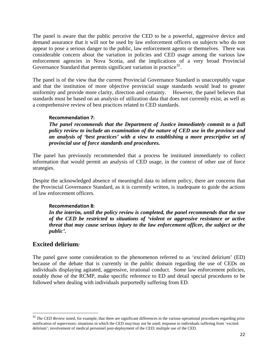The panel is aware that the public perceive the CED to be a powerful, aggressive device and demand assurance that it will not be used by law enforcement officers on subjects who do not appear to pose a serious danger to the public, law enforcement agents or themselves. There was considerable concern about the variation in policies and CED usage among the various law enforcement agencies in Nova Scotia, and the implications of a very broad Provincial Governance Standard that permits significant variation in practice<sup>[32](#page-22-0)</sup>.

The panel is of the view that the current Provincial Governance Standard is unacceptably vague and that the institution of more objective provincial usage standards would lead to greater uniformity and provide more clarity, direction and certainty. However, the panel believes that standards must be based on an analysis of utilization data that does not currently exist, as well as a comprehensive review of best practices related to CED standards.

#### **Recommendation 7:**

*The panel recommends that the Department of Justice immediately commit to a full policy review to include an examination of the nature of CED use in the province and an analysis of 'best practices' with a view to establishing a more prescriptive set of provincial use of force standards and procedures.* 

The panel has previously recommended that a process be instituted immediately to collect information that would permit an analysis of CED usage, in the context of other use of force strategies.

Despite the acknowledged absence of meaningful data to inform policy, there are concerns that the Provincial Governance Standard, as it is currently written, is inadequate to guide the actions of law enforcement officers.

### **Recommendation 8:**

*In the interim, until the policy review is completed, the panel recommends that the use of the CED be restricted to situations of 'violent or aggressive resistance or active threat that may cause serious injury to the law enforcement officer, the subject or the public'.*

## **Excited delirium***:*

The panel gave some consideration to the phenomenon referred to as 'excited delirium' (ED) because of the debate that is currently in the public domain regarding the use of CEDs on individuals displaying agitated, aggressive, irrational conduct. Some law enforcement policies, notably those of the RCMP, make specific reference to ED and detail special procedures to be followed when dealing with individuals purportedly suffering from ED.

<span id="page-22-0"></span><sup>&</sup>lt;sup>32</sup> *The CED Review* noted, for example, that there are significant differences in the various operational procedures regarding prior notification of supervisors; situations in which the CED may/may not be used; response to individuals suffering from 'excited delirium'; involvement of medical personnel post-deployment of the CED; multiple use of the CED.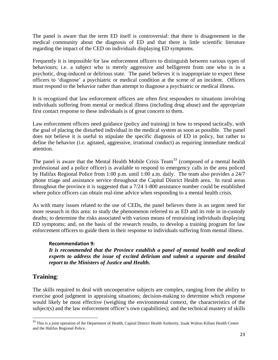The panel is aware that the term ED itself is controversial: that there is disagreement in the medical community about the diagnosis of ED and that there is little scientific literature regarding the impact of the CED on individuals displaying ED symptoms.

Frequently it is impossible for law enforcement officers to distinguish between various types of behaviours; i.e. a subject who is merely aggressive and belligerent from one who is in a psychotic, drug-induced or delirious state. The panel believes it is inappropriate to expect these officers to 'diagnose' a psychiatric or medical condition at the scene of an incident. Officers must respond to the behavior rather than attempt to diagnose a psychiatric or medical illness.

It is recognized that law enforcement officers are often first responders to situations involving individuals suffering from mental or medical illness (including drug abuse) and the appropriate first contact response to these individuals is of great concern to them.

Law enforcement officers need guidance (policy and training) in how to respond tactically, with the goal of placing the disturbed individual in the medical system as soon as possible. The panel does not believe it is useful to stipulate the specific diagnosis of ED in policy, but rather to define the behavior (i.e. agitated, aggressive, irrational conduct) as requiring immediate medical attention.

The panel is aware that the Mental Health Mobile Crisis Team<sup>[33](#page-23-0)</sup> (composed of a mental health professional and a police officer) is available to respond to emergency calls in the area policed by Halifax Regional Police from 1:00 p.m. until 1:00 a.m. daily. The team also provides a 24/7 phone triage and assistance service throughout the Capital District Health area. In rural areas throughout the province it is suggested that a 7/24 1-800 assistance number could be established where police officers can obtain real-time advice when responding to a mental health crisis.

As with many issues related to the use of CEDs, the panel believes there is an urgent need for more research in this area: to study the phenomenon referred to as ED and its role in in-custody deaths; to determine the risks associated with various means of restraining individuals displaying ED symptoms; and, on the basis of the research results, to develop a training program for law enforcement officers to guide them in their response to individuals suffering from mental illness.

## **Recommendation 9:**

*It is recommended that the Province establish a panel of mental health and medical experts to address the issue of excited delirium and submit a separate and detailed report to the Ministers of Justice and Health.* 

# **Training**:

The skills required to deal with uncooperative subjects are complex, ranging from the ability to exercise good judgment in appraising situations; decision-making to determine which response would likely be most effective (weighing the environmental context, the characteristics of the subject(s) and the law enforcement officer's own capabilities); and the technical mastery of skills

<span id="page-23-0"></span><sup>&</sup>lt;sup>33</sup> This is a joint operation of the Department of Health, Capital District Health Authority, Izaak Walton Killam Health Centre and the Halifax Regional Police.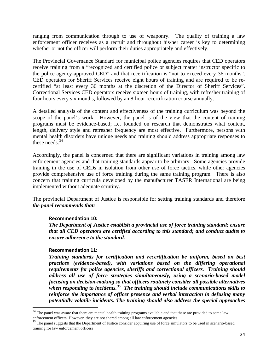ranging from communication through to use of weaponry. The quality of training a law enforcement officer receives as a recruit and throughout his/her career is key to determining whether or not the officer will perform their duties appropriately and effectively.

The Provincial Governance Standard for municipal police agencies requires that CED operators receive training from a "recognized and certified police or subject matter instructor specific to the police agency-approved CED" and that recertification is "not to exceed every 36 months". CED operators for Sheriff Services receive eight hours of training and are required to be recertified "at least every 36 months at the discretion of the Director of Sheriff Services". Correctional Services CED operators receive sixteen hours of training, with refresher training of four hours every six months, followed by an 8-hour recertification course annually.

A detailed analysis of the content and effectiveness of the training curriculum was beyond the scope of the panel's work. However, the panel is of the view that the content of training programs must be evidence-based; i.e. founded on research that demonstrates what content, length, delivery style and refresher frequency are most effective. Furthermore, persons with mental health disorders have unique needs and training should address appropriate responses to these needs. $34$ 

Accordingly, the panel is concerned that there are significant variations in training among law enforcement agencies and that training standards appear to be arbitrary. Some agencies provide training in the use of CEDs in isolation from other use of force tactics, while other agencies provide comprehensive use of force training during the same training program. There is also concern that training curricula developed by the manufacturer TASER International are being implemented without adequate scrutiny.

The provincial Department of Justice is responsible for setting training standards and therefore *the panel recommends that:*

### **Recommendation 10:**

*The Department of Justice establish a provincial use of force training standard; ensure that all CED operators are certified according to this standard; and conduct audits to ensure adherence to the standard.* 

### **Recommendation 11:**

*Training standards for certification and recertification be uniform, based on best practices (evidence-based), with variations based on the differing operational requirements for police agencies, sheriffs and correctional officers. Training should address all use of force strategies simultaneously, using a scenario-based model focusing on decision-making so that officers routinely consider all possible alternatives when responding to incidents.[35](#page-24-1) The training should include communications skills to reinforce the importance of officer presence and verbal interaction in defusing many potentially volatile incidents. The training should also address the special approaches* 

<span id="page-24-0"></span><sup>&</sup>lt;sup>34</sup> The panel was aware that there are mental health training programs available and that these are provided to some law enforcement officers. However, they are not shared among all law enforcement agencies.

<span id="page-24-1"></span><sup>&</sup>lt;sup>35</sup> The panel suggests that the Department of Justice consider acquiring use of force simulators to be used in scenario-based training for law enforcement officers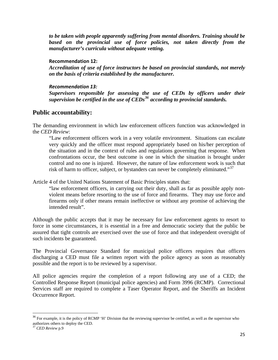*to be taken with people apparently suffering from mental disorders. Training should be*  based on the provincial use of force policies, not taken directly from the *manufacturer's curricula without adequate vetting.* 

### **Recommendation 12:**

*Accreditation of use of force instructors be based on provincial standards, not merely on the basis of criteria established by the manufacturer.* 

### *Recommendation 13:*

*Supervisors responsible for assessing the use of CEDs by officers under their supervision be certified in the use of CEDs[36](#page-25-0) according to provincial standards.* 

# **Public accountability:**

The demanding environment in which law enforcement officers function was acknowledged in the *CED Review*:

"Law enforcement officers work in a very volatile environment. Situations can escalate very quickly and the officer must respond appropriately based on his/her perception of the situation and in the context of rules and regulations governing that response. When confrontations occur, the best outcome is one in which the situation is brought under control and no one is injured. However, the nature of law enforcement work is such that risk of harm to officer, subject, or bystanders can never be completely eliminated." $37$ 

Article 4 of the United Nations Statement of Basic Principles states that:

"law enforcement officers, in carrying out their duty, shall as far as possible apply nonviolent means before resorting to the use of force and firearms. They may use force and firearms only if other means remain ineffective or without any promise of achieving the intended result".

Although the public accepts that it may be necessary for law enforcement agents to resort to force in some circumstances, it is essential in a free and democratic society that the public be assured that tight controls are exercised over the use of force and that independent oversight of such incidents be guaranteed.

The Provincial Governance Standard for municipal police officers requires that officers discharging a CED must file a written report with the police agency as soon as reasonably possible and the report is to be reviewed by a supervisor.

All police agencies require the completion of a report following any use of a CED; the Controlled Response Report (municipal police agencies) and Form 3996 (RCMP). Correctional Services staff are required to complete a Taser Operator Report, and the Sheriffs an Incident Occurrence Report.

<span id="page-25-0"></span><sup>&</sup>lt;sup>36</sup> For example, it is the policy of RCMP 'H' Division that the reviewing supervisor be certified, as well as the supervisor who authorizes others to deploy the CED.

<span id="page-25-1"></span><sup>37</sup> *CED Review* p.9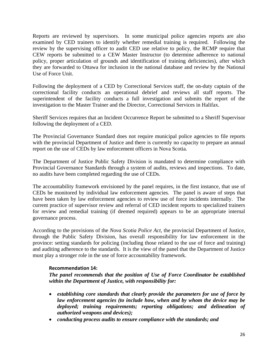Reports are reviewed by supervisors. In some municipal police agencies reports are also examined by CED trainers to identify whether remedial training is required. Following the review by the supervising officer to audit CED use relative to policy, the RCMP require that CEW reports be submitted to a CEW Master Instructor (to determine adherence to national policy, proper articulation of grounds and identification of training deficiencies), after which they are forwarded to Ottawa for inclusion in the national database and review by the National Use of Force Unit.

Following the deployment of a CED by Correctional Services staff, the on-duty captain of the correctional facility conducts an operational debrief and reviews all staff reports. The superintendent of the facility conducts a full investigation and submits the report of the investigation to the Master Trainer and the Director, Correctional Services in Halifax.

Sheriff Services requires that an Incident Occurrence Report be submitted to a Sheriff Supervisor following the deployment of a CED.

The Provincial Governance Standard does not require municipal police agencies to file reports with the provincial Department of Justice and there is currently no capacity to prepare an annual report on the use of CEDs by law enforcement officers in Nova Scotia.

The Department of Justice Public Safety Division is mandated to determine compliance with Provincial Governance Standards through a system of audits, reviews and inspections. To date, no audits have been completed regarding the use of CEDs.

The accountability framework envisioned by the panel requires, in the first instance, that use of CEDs be monitored by individual law enforcement agencies. The panel is aware of steps that have been taken by law enforcement agencies to review use of force incidents internally. The current practice of supervisor review and referral of CED incident reports to specialized trainers for review and remedial training (if deemed required) appears to be an appropriate internal governance process.

According to the provisions of the *Nova Scotia Police Act*, the provincial Department of Justice, through the Public Safety Division, has overall responsibility for law enforcement in the province: setting standards for policing (including those related to the use of force and training) and auditing adherence to the standards. It is the view of the panel that the Department of Justice must play a stronger role in the use of force accountability framework.

### **Recommendation 14:**

*The panel recommends that the position of Use of Force Coordinator be established within the Department of Justice, with responsibility for:* 

- *establishing core standards that clearly provide the parameters for use of force by law enforcement agencies (to include how, when and by whom the device may be deployed; training requirements; reporting obligations; and delineation of authorized weapons and devices);*
- *conducting process audits to ensure compliance with the standards; and*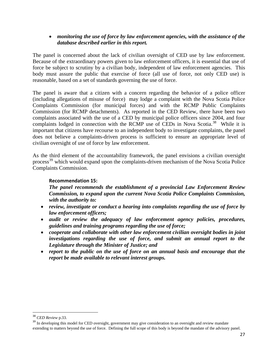## • *monitoring the use of force by law enforcement agencies, with the assistance of the database described earlier in this report.*

The panel is concerned about the lack of civilian oversight of CED use by law enforcement. Because of the extraordinary powers given to law enforcement officers, it is essential that use of force be subject to scrutiny by a civilian body, independent of law enforcement agencies. This body must assure the public that exercise of force (all use of force, not only CED use) is reasonable, based on a set of standards governing the use of force.

The panel is aware that a citizen with a concern regarding the behavior of a police officer (including allegations of misuse of force) may lodge a complaint with the Nova Scotia Police Complaints Commission (for municipal forces) and with the RCMP Public Complaints Commission (for RCMP detachments). As reported in the CED Review, there have been two complaints associated with the use of a CED by municipal police officers since 2004, and four complaints lodged in connection with the RCMP use of CEDs in Nova Scotia.<sup>[38](#page-27-0)</sup> While it is important that citizens have recourse to an independent body to investigate complaints, the panel does not believe a complaints-driven process is sufficient to ensure an appropriate level of civilian oversight of use of force by law enforcement.

As the third element of the accountability framework, the panel envisions a civilian oversight process<sup>[39](#page-27-1)</sup> which would expand upon the complaints-driven mechanism of the Nova Scotia Police Complaints Commission.

### **Recommendation 15:**

*The panel recommends the establishment of a provincial Law Enforcement Review Commission, to expand upon the current Nova Scotia Police Complaints Commission, with the authority to:* 

- *review, investigate or conduct a hearing into complaints regarding the use of force by law enforcement officers;*
- *audit or review the adequacy of law enforcement agency policies, procedures, guidelines and training programs regarding the use of force;*
- *cooperate and collaborate with other law enforcement civilian oversight bodies in joint investigations regarding the use of force, and submit an annual report to the Legislature through the Minister of Justice; and*
- *report to the public on the use of force on an annual basis and encourage that the report be made available to relevant interest groups.*

<sup>38</sup> *CED Review* p.33.

<span id="page-27-1"></span><span id="page-27-0"></span><sup>&</sup>lt;sup>39</sup> In developing this model for CED oversight, government may give consideration to an oversight and review mandate extending to matters beyond the use of force. Defining the full scope of this body is beyond the mandate of the advisory panel.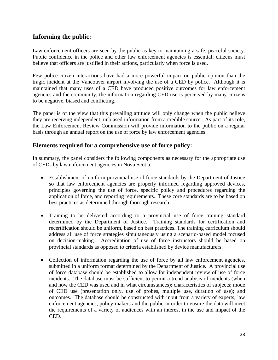# **Informing the public:**

Law enforcement officers are seen by the public as key to maintaining a safe, peaceful society. Public confidence in the police and other law enforcement agencies is essential; citizens must believe that officers are justified in their actions, particularly when force is used.

Few police-citizen interactions have had a more powerful impact on public opinion than the tragic incident at the Vancouver airport involving the use of a CED by police. Although it is maintained that many uses of a CED have produced positive outcomes for law enforcement agencies and the community, the information regarding CED use is perceived by many citizens to be negative, biased and conflicting.

The panel is of the view that this prevailing attitude will only change when the public believe they are receiving independent, unbiased information from a credible source. As part of its role, the Law Enforcement Review Commission will provide information to the public on a regular basis through an annual report on the use of force by law enforcement agencies.

# **Elements required for a comprehensive use of force policy:**

In summary, the panel considers the following components as necessary for the appropriate use of CEDs by law enforcement agencies in Nova Scotia:

- Establishment of uniform provincial use of force standards by the Department of Justice so that law enforcement agencies are properly informed regarding approved devices, principles governing the use of force, specific policy and procedures regarding the application of force, and reporting requirements. These core standards are to be based on best practices as determined through thorough research.
- Training to be delivered according to a provincial use of force training standard determined by the Department of Justice. Training standards for certification and recertification should be uniform, based on best practices. The training curriculum should address all use of force strategies simultaneously using a scenario-based model focused on decision-making. Accreditation of use of force instructors should be based on provincial standards as opposed to criteria established by device manufacturers.
- Collection of information regarding the use of force by all law enforcement agencies, submitted in a uniform format determined by the Department of Justice. A provincial use of force database should be established to allow for independent review of use of force incidents. The database must be sufficient to permit a trend analysis of incidents (when and how the CED was used and in what circumstances); characteristics of subjects; mode of CED use (presentation only, use of probes, multiple use, duration of use); and outcomes. The database should be constructed with input from a variety of experts, law enforcement agencies, policy-makers and the public in order to ensure the data will meet the requirements of a variety of audiences with an interest in the use and impact of the CED.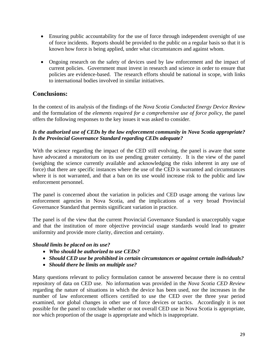- Ensuring public accountability for the use of force through independent oversight of use of force incidents. Reports should be provided to the public on a regular basis so that it is known how force is being applied, under what circumstances and against whom.
- Ongoing research on the safety of devices used by law enforcement and the impact of current policies. Government must invest in research and science in order to ensure that policies are evidence-based. The research efforts should be national in scope, with links to international bodies involved in similar initiatives.

# **Conclusions:**

In the context of its analysis of the findings of the *Nova Scotia Conducted Energy Device Review* and the formulation of the *elements required for a comprehensive use of force policy*, the panel offers the following responses to the key issues it was asked to consider.

## *Is the authorized use of CEDs by the law enforcement community in Nova Scotia appropriate? Is the Provincial Governance Standard regarding CEDs adequate?*

With the science regarding the impact of the CED still evolving, the panel is aware that some have advocated a moratorium on its use pending greater certainty. It is the view of the panel (weighing the science currently available and acknowledging the risks inherent in any use of force) that there are specific instances where the use of the CED is warranted and circumstances where it is not warranted, and that a ban on its use would increase risk to the public and law enforcement personnel.

The panel is concerned about the variation in policies and CED usage among the various law enforcement agencies in Nova Scotia, and the implications of a very broad Provincial Governance Standard that permits significant variation in practice.

The panel is of the view that the current Provincial Governance Standard is unacceptably vague and that the institution of more objective provincial usage standards would lead to greater uniformity and provide more clarity, direction and certainty.

## *Should limits be placed on its use?*

- *Who should be authorized to use CEDs?*
- *Should CED use be prohibited in certain circumstances or against certain individuals?*
- *Should there be limits on multiple use?*

Many questions relevant to policy formulation cannot be answered because there is no central repository of data on CED use. No information was provided in the *Nova Scotia CED Review* regarding the nature of situations in which the device has been used, nor the increases in the number of law enforcement officers certified to use the CED over the three year period examined, nor global changes in other use of force devices or tactics. Accordingly it is not possible for the panel to conclude whether or not overall CED use in Nova Scotia is appropriate, nor which proportion of the usage is appropriate and which is inappropriate.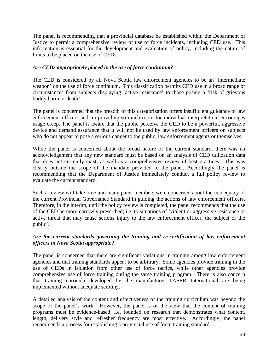The panel is recommending that a provincial database be established within the Department of Justice to permit a comprehensive review of use of force incidents, including CED use. This information is essential for the development and evaluation of policy, including the nature of limits to be placed on the use of CEDs.

## *Are CEDs appropriately placed in the use of force continuum?*

The CED is considered by all Nova Scotia law enforcement agencies to be an 'intermediate weapon' on the use of force continuum. This classification permits CED use in a broad range of circumstances from subjects displaying 'active resistance' to those posing a 'risk of grievous bodily harm or death'.

The panel is concerned that the breadth of this categorization offers insufficient guidance to law enforcement officers and, in providing so much room for individual interpretation, encourages usage creep. The panel is aware that the public perceive the CED to be a powerful, aggressive device and demand assurance that it will not be used by law enforcement officers on subjects who do not appear to pose a serious danger to the public, law enforcement agents or themselves.

While the panel is concerned about the broad nature of the current standard, there was an acknowledgement that any new standard must be based on an analysis of CED utilization data that does not currently exist, as well as a comprehensive review of best practices. This was clearly outside the scope of the mandate provided to the panel. Accordingly the panel is recommending that the Department of Justice immediately conduct a full policy review to evaluate the current standard.

Such a review will take time and many panel members were concerned about the inadequacy of the current Provincial Governance Standard in guiding the actions of law enforcement officers. Therefore, in the interim, until the policy review is completed, the panel recommends that the use of the CED be more narrowly prescribed; i.e. to situations of 'violent or aggressive resistance or active threat that may cause serious injury to the law enforcement officer, the subject or the public'.

## *Are the current standards governing the training and re-certification of law enforcement officers in Nova Scotia appropriate?*

The panel is concerned that there are significant variations in training among law enforcement agencies and that training standards appear to be arbitrary. Some agencies provide training in the use of CEDs in isolation from other use of force tactics, while other agencies provide comprehensive use of force training during the same training program. There is also concern that training curricula developed by the manufacturer TASER International are being implemented without adequate scrutiny.

A detailed analysis of the content and effectiveness of the training curriculum was beyond the scope of the panel's work. However, the panel is of the view that the content of training programs must be evidence-based; i.e. founded on research that demonstrates what content, length, delivery style and refresher frequency are most effective. Accordingly, the panel recommends a process for establishing a provincial use of force training standard.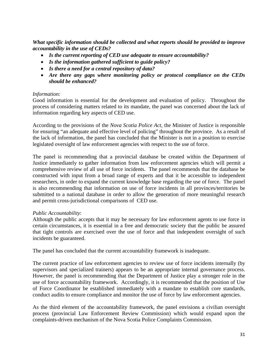*What specific information should be collected and what reports should be provided to improve accountability in the use of CEDs?* 

- *Is the current reporting of CED use adequate to ensure accountability?*
- *Is the information gathered sufficient to guide policy?*
- *Is there a need for a central repository of data?*
- *Are there any gaps where monitoring policy or protocol compliance on the CEDs should be enhanced?*

## *Information:*

Good information is essential for the development and evaluation of policy. Throughout the process of considering matters related to its mandate, the panel was concerned about the lack of information regarding key aspects of CED use.

According to the provisions of the *Nova Scotia Police Act*, the Minister of Justice is responsible for ensuring "an adequate and effective level of policing" throughout the province. As a result of the lack of information, the panel has concluded that the Minister is not in a position to exercise legislated oversight of law enforcement agencies with respect to the use of force.

The panel is recommending that a provincial database be created within the Department of Justice immediately to gather information from law enforcement agencies which will permit a comprehensive review of all use of force incidents. The panel recommends that the database be constructed with input from a broad range of experts and that it be accessible to independent researchers, in order to expand the current knowledge base regarding the use of force. The panel is also recommending that information on use of force incidents in all provinces/territories be submitted to a national database in order to allow the generation of more meaningful research and permit cross-jurisdictional comparisons of CED use.

### *Public Accountability*:

Although the public accepts that it may be necessary for law enforcement agents to use force in certain circumstances, it is essential in a free and democratic society that the public be assured that tight controls are exercised over the use of force and that independent oversight of such incidents be guaranteed.

The panel has concluded that the current accountability framework is inadequate.

The current practice of law enforcement agencies to review use of force incidents internally (by supervisors and specialized trainers) appears to be an appropriate internal governance process. However, the panel is recommending that the Department of Justice play a stronger role in the use of force accountability framework. Accordingly, it is recommended that the position of Use of Force Coordinator be established immediately with a mandate to establish core standards, conduct audits to ensure compliance and monitor the use of force by law enforcement agencies.

As the third element of the accountability framework, the panel envisions a civilian oversight process (provincial Law Enforcement Review Commission) which would expand upon the complaints-driven mechanism of the Nova Scotia Police Complaints Commission.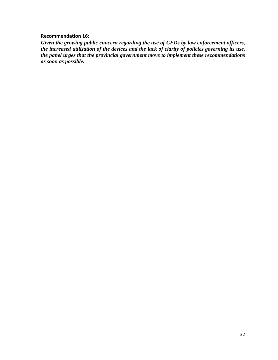### **Recommendation 16:**

*Given the growing public concern regarding the use of CEDs by law enforcement officers, the increased utilization of the devices and the lack of clarity of policies governing its use, the panel urges that the provincial government move to implement these recommendations as soon as possible.*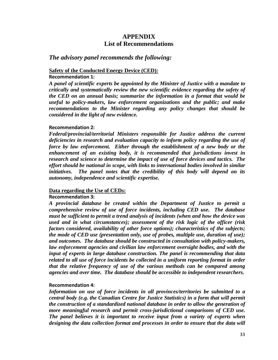# **APPENDIX List of Recommendations**

## *The advisory panel recommends the following:*

## **Safety of the Conducted Energy Device (CED):**

#### **Recommendation 1:**

*A panel of scientific experts be appointed by the Minister of Justice with a mandate to critically and systematically review the new scientific evidence regarding the safety of the CED on an annual basis; summarize the information in a format that would be useful to policy-makers, law enforcement organizations and the public; and make recommendations to the Minister regarding any policy changes that should be considered in the light of new evidence.* 

### **Recommendation 2:**

*Federal/provincial/territorial Ministers responsible for Justice address the current deficiencies in research and evaluation capacity to inform policy regarding the use of force by law enforcement. Either through the establishment of a new body or the enhancement of an existing body, it is recommended that jurisdictions invest in research and science to determine the impact of use of force devices and tactics. The effort should be national in scope, with links to international bodies involved in similar initiatives. The panel notes that the credibility of this body will depend on its autonomy, independence and scientific expertise.* 

### **Data regarding the Use of CEDs:**

### **Recommendation 3:**

*A provincial database be created within the Department of Justice to permit a comprehensive review of use of force incidents, including CED use. The database must be sufficient to permit a trend analysis of incidents (when and how the device was used and in what circumstances); assessment of the risk logic of the officer (risk factors considered, availability of other force options); characteristics of the subjects; the mode of CED use (presentation only, use of probes, multiple use, duration of use); and outcomes. The database should be constructed in consultation with policy-makers, law enforcement agencies and civilian law enforcement oversight bodies, and with the input of experts in large database construction. The panel is recommending that data related to all use of force incidents be collected in a uniform reporting format in order that the relative frequency of use of the various methods can be compared among agencies and over time. The database should be accessible to independent researchers.* 

### **Recommendation 4:**

*Information on use of force incidents in all provinces/territories be submitted to a central body (e.g. the Canadian Centre for Justice Statistics) in a form that will permit the construction of a standardized national database in order to allow the generation of more meaningful research and permit cross-jurisdictional comparisons of CED use. The panel believes it is important to receive input from a variety of experts when designing the data collection format and processes in order to ensure that the data will*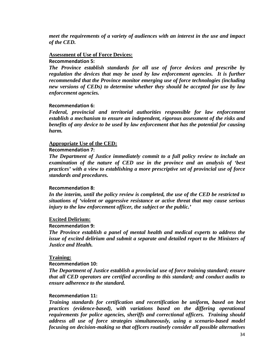*meet the requirements of a variety of audiences with an interest in the use and impact of the CED.* 

#### **Assessment of Use of Force Devices:**

#### **Recommendation 5:**

*The Province establish standards for all use of force devices and prescribe by regulation the devices that may be used by law enforcement agencies. It is further recommended that the Province monitor emerging use of force technologies (including new versions of CEDs) to determine whether they should be accepted for use by law enforcement agencies.* 

#### **Recommendation 6:**

*Federal, provincial and territorial authorities responsible for law enforcement establish a mechanism to ensure an independent, rigorous assessment of the risks and benefits of any device to be used by law enforcement that has the potential for causing harm.* 

#### **Appropriate Use of the CED:**

#### **Recommendation 7:**

*The Department of Justice immediately commit to a full policy review to include an examination of the nature of CED use in the province and an analysis of 'best practices' with a view to establishing a more prescriptive set of provincial use of force standards and procedures.* 

#### **Recommendation 8:**

*In the interim, until the policy review is completed, the use of the CED be restricted to situations of 'violent or aggressive resistance or active threat that may cause serious injury to the law enforcement officer, the subject or the public.'* 

#### **Excited Delirium:**

#### **Recommendation 9:**

*The Province establish a panel of mental health and medical experts to address the issue of excited delirium and submit a separate and detailed report to the Ministers of Justice and Health.* 

#### **Training:**

#### **Recommendation 10:**

*The Department of Justice establish a provincial use of force training standard; ensure that all CED operators are certified according to this standard; and conduct audits to ensure adherence to the standard.* 

#### **Recommendation 11:**

*Training standards for certification and recertification be uniform, based on best practices (evidence-based), with variations based on the differing operational requirements for police agencies, sheriffs and correctional officers. Training should address all use of force strategies simultaneously, using a scenario-based model focusing on decision-making so that officers routinely consider all possible alternatives*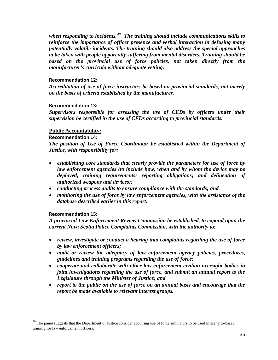*when responding to incidents.[40](#page-35-0) The training should include communications skills to reinforce the importance of officer presence and verbal interaction in defusing many potentially volatile incidents. The training should also address the special approaches to be taken with people apparently suffering from mental disorders. Training should be based on the provincial use of force policies, not taken directly from the manufacturer's curricula without adequate vetting.* 

#### **Recommendation 12:**

*Accreditation of use of force instructors be based on provincial standards, not merely on the basis of criteria established by the manufacturer.* 

#### **Recommendation 13:**

*Supervisors responsible for assessing the use of CEDs by officers under their supervision be certified in the use of CEDs according to provincial standards.* 

#### **Public Accountability:**

#### **Recommendation 14:**

*The position of Use of Force Coordinator be established within the Department of Justice, with responsibility for:* 

- *establishing core standards that clearly provide the parameters for use of force by law enforcement agencies (to include how, when and by whom the device may be deployed; training requirements; reporting obligations; and delineation of authorized weapons and devices);*
- *conducting process audits to ensure compliance with the standards; and*
- *monitoring the use of force by law enforcement agencies, with the assistance of the database described earlier in this report.*

#### **Recommendation 15:**

*A provincial Law Enforcement Review Commission be established, to expand upon the current Nova Scotia Police Complaints Commission, with the authority to:* 

- *review, investigate or conduct a hearing into complaints regarding the use of force by law enforcement officers;*
- *audit or review the adequacy of law enforcement agency policies, procedures, guidelines and training programs regarding the use of force;*
- *cooperate and collaborate with other law enforcement civilian oversight bodies in joint investigations regarding the use of force, and submit an annual report to the Legislature through the Minister of Justice; and*
- *report to the public on the use of force on an annual basis and encourage that the report be made available to relevant interest groups.*

<span id="page-35-0"></span><sup>&</sup>lt;sup>40</sup> The panel suggests that the Department of Justice consider acquiring use of force simulators to be used in scenario-based training for law enforcement officers.